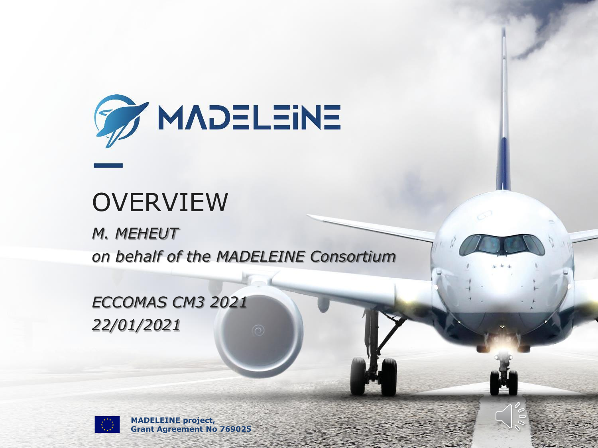

## **OVERVIEW**

*M. MEHEUT on behalf of the MADELEINE Consortium*

*ECCOMAS CM3 2021 22/01/2021*



**MADELEINE project, Grant Agreement No 769025**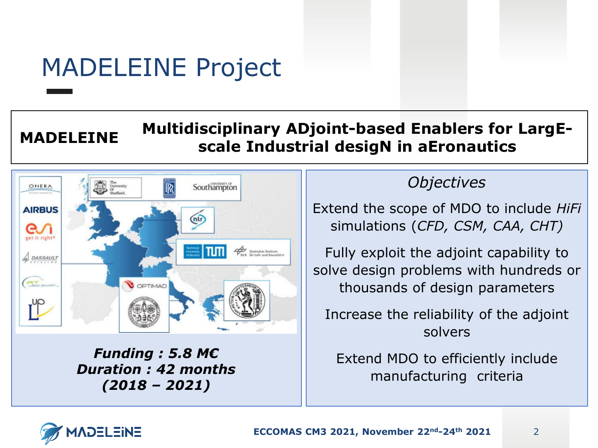# MADELEINE Project

#### **MADELEINE Multidisciplinary ADjoint-based Enablers for LargEscale Industrial desigN in aEronautics**



*Funding : 5.8 M€ Duration : 42 months (2018 – 2021)*

#### *Objectives*

Extend the scope of MDO to include *HiFi* simulations (*CFD, CSM, CAA, CHT)*

Fully exploit the adjoint capability to solve design problems with hundreds or thousands of design parameters

Increase the reliability of the adjoint solvers

Extend MDO to efficiently include manufacturing criteria

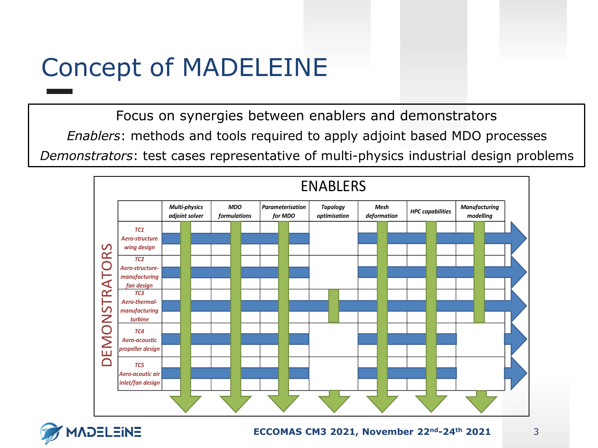# Concept of MADELEINE

Focus on synergies between enablers and demonstrators *Enablers*: methods and tools required to apply adjoint based MDO processes *Demonstrators*: test cases representative of multi-physics industrial design problems



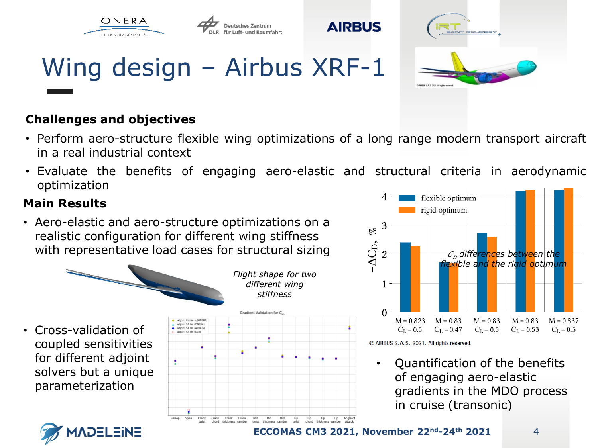



# Wing design – Airbus XRF-1

#### **Challenges and objectives**

• Perform aero-structure flexible wing optimizations of a long range modern transport aircraft in a real industrial context

**AIRBUS** 

• Evaluate the benefits of engaging aero-elastic and structural criteria in aerodynamic optimization

#### **Main Results**

• Aero-elastic and aero-structure optimizations on a realistic configuration for different wing stiffness with representative load cases for structural sizing



coupled sensitivities for different adjoint solvers but a unique parameterization





• Quantification of the benefits of engaging aero-elastic gradients in the MDO process in cruise (transonic)

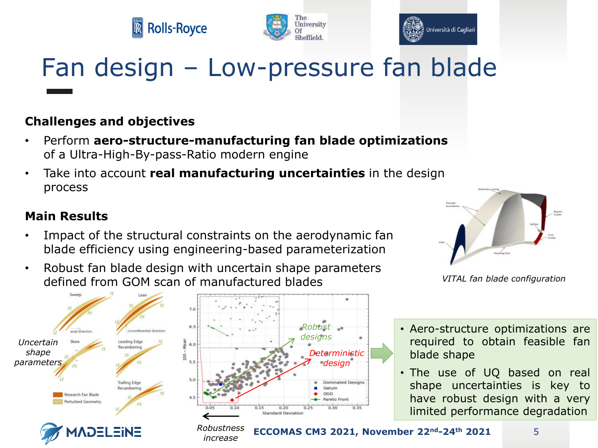





# Fan design – Low-pressure fan blade

#### **Challenges and objectives**

- Perform **aero-structure-manufacturing fan blade optimizations** of a Ultra-High-By-pass-Ratio modern engine
- Take into account **real manufacturing uncertainties** in the design process

#### **Main Results**

- Impact of the structural constraints on the aerodynamic fan blade efficiency using engineering-based parameterization
- Robust fan blade design with uncertain shape parameters defined from GOM scan of manufactured blades *VITAL fan blade configuration*



*increase*



- Aero-structure optimizations are required to obtain feasible fan blade shape
- The use of UQ based on real shape uncertainties is key to have robust design with a very limited performance degradation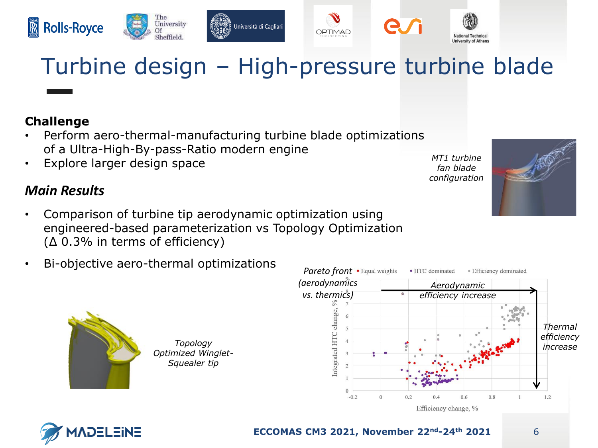









# Turbine design – High-pressure turbine blade

#### **Challenge**

- Perform aero-thermal-manufacturing turbine blade optimizations of a Ultra-High-By-pass-Ratio modern engine
- Explore larger design space

#### *Main Results*

- Comparison of turbine tip aerodynamic optimization using engineered-based parameterization vs Topology Optimization (∆ 0.3% in terms of efficiency)
- Bi-objective aero-thermal optimizations



*Topology Optimized Winglet-Squealer tip*





*MT1 turbine fan blade configuration* 

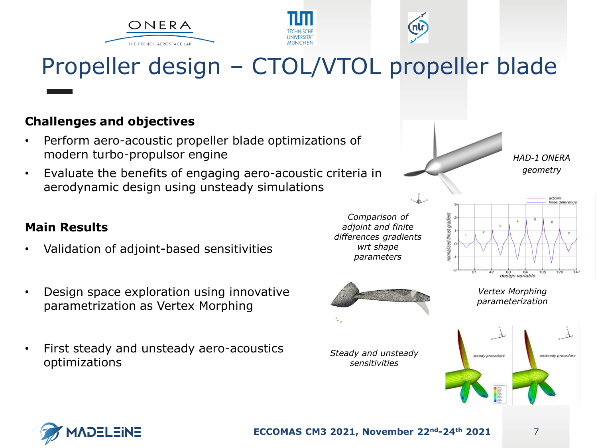





# Propeller design – CTOL/VTOL propeller blade

#### **Challenges and objectives**

- Perform aero-acoustic propeller blade optimizations of modern turbo-propulsor engine
- Evaluate the benefits of engaging aero-acoustic criteria in aerodynamic design using unsteady simulations

#### **Main Results**

- Validation of adjoint-based sensitivities
- Design space exploration using innovative parametrization as Vertex Morphing
- First steady and unsteady aero-acoustics optimizations



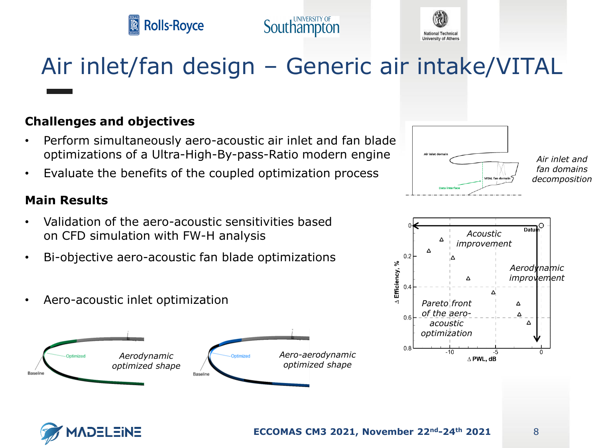



# Air inlet/fan design – Generic air intake/VITAL

#### **Challenges and objectives**

- Perform simultaneously aero-acoustic air inlet and fan blade optimizations of a Ultra-High-By-pass-Ratio modern engine
- Evaluate the benefits of the coupled optimization process

#### **Main Results**

- Validation of the aero-acoustic sensitivities based on CFD simulation with FW-H analysis
- Bi-objective aero-acoustic fan blade optimizations
- Aero-acoustic inlet optimization





*Air inlet and fan domains decomposition* 

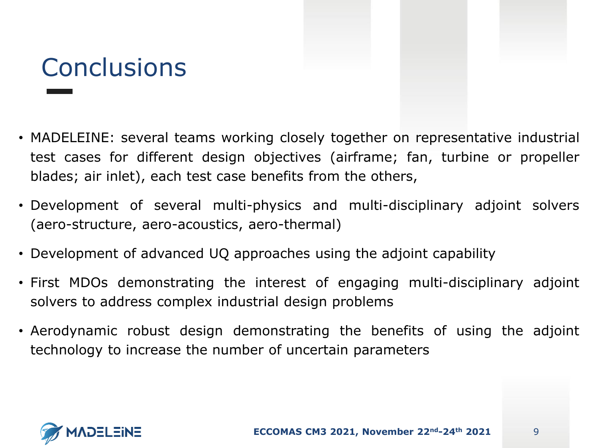# **Conclusions**

- MADELEINE: several teams working closely together on representative industrial test cases for different design objectives (airframe; fan, turbine or propeller blades; air inlet), each test case benefits from the others,
- Development of several multi-physics and multi-disciplinary adjoint solvers (aero-structure, aero-acoustics, aero-thermal)
- Development of advanced UQ approaches using the adjoint capability
- First MDOs demonstrating the interest of engaging multi-disciplinary adjoint solvers to address complex industrial design problems
- Aerodynamic robust design demonstrating the benefits of using the adjoint technology to increase the number of uncertain parameters

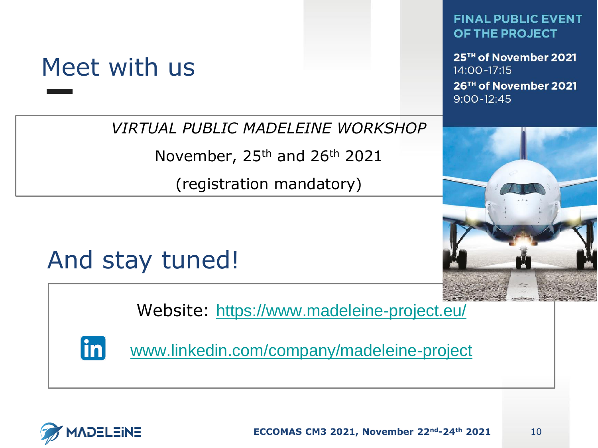### Meet with us

*VIRTUAL PUBLIC MADELEINE WORKSHOP* 

November, 25<sup>th</sup> and 26<sup>th</sup> 2021

(registration mandatory)

#### **FINAL PUBLIC EVENT** OF THE PROJECT

25<sup>TH</sup> of November 2021 14:00-17:15 26TH of November 2021  $9:00 - 12:45$ 



## And stay tuned!

Website: <https://www.madeleine-project.eu/>

 $|<sub>in</sub>|$ 

[www.linkedin.com/company/madeleine-project](http://www.linkedin.com/company/madeleine-project/)